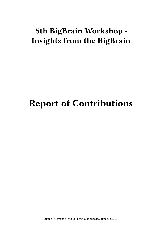# **5th BigBrain Workshop - Insights from the BigBrain**

# **Report of Contributions**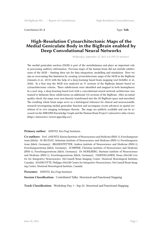**Contribution ID: 2** Type: **Talk** 

#### **High-Resolution Cytoarchitectonic Maps of the Medial Geniculate Body in the BigBrain enabled by Deep Convolutional Neural Networks**

*Wednesday, September 22, 2021 4:15 PM (15 minutes)*

The medial geniculate nucleus (MGB) is part of the metathalamus and plays an important role in processing auditory information. Previous maps of the human brain did not include subdivisions of the MGB – limiting their use for data integration, modelling and simulation. Here we aim at overcoming this limitation by creating cytoarchitectonic maps of the MGB in the BigBrain (Amunts et al., 2013) with the help of a deep-learning based brain mapping tool (Schiffer et al., 2020). In a first step the MGB was analyzed on 57 sections of the BigBrain dataset based on cytoarchitectonic criteria. Three subdivisions were identified and mapped in both hemispheres. In a next step, a deep-learning based tool with a convolutional neural network architecture was trained to delineate these subdivisions on additional 132 sections of the BigBrain. After an initial quality check, the maps were non-linearly transformed into the 3D BigBrain space and smoothed. The resulting whole brain maps serve as a histological reference for clinical and neuroscientific research investigating medial geniculate function and accompany recent advances in spatial resolution of in vivo imaging techniques therein. The maps are publicly available and can be accessed via the EBRAINS Knowledge Graph and the Human Brain Project's interactive atlas viewer (https://interactive-viewer.apps.hbp.eu/).

#### **Primary author:** KIWITZ, Kai (Vogt Institute)

**Co-authors:** Prof. AMUNTS, Katrin (Institute of Neuroscience and Medicine (INM-1), Forschungszentrum Jülich); Dr BLUDAU, Sebastian (nstitute of Neuroscience and Medicine (INM-1), Forschungszentrum Jülich, Germany); BRANDSTETTER, Andrea (nstitute of Neuroscience and Medicine (INM-1), Forschungszentrum Jülich, Germany); SCHIFFER, Christian (nstitute of Neuroscience and Medicine (INM-1), Forschungszentrum Jülich, Germany); Dr MOHLBERG, Hartmut (nstitute of Neuroscience and Medicine (INM-1), Forschungszentrum Jülich, Germany); OMIDYEGANEH, Mona (McGill Centre for Integrative Neuroscience, McConnell Brain Imaging Center, Montreal Neurological Institute, Canada); MASSICOTTE, Philippe (McGill Centre for Integrative Neuroscience, McConnell Brain Imaging Center, Montreal Neurological Institute, Canada)

**Presenter:** KIWITZ, Kai (Vogt Institute)

**Session Classification:** Contributed Talks: Structural and Functional Mapping

**Track Classification:** Workshop Day 1 - Sep 22: Structural and Functional Mapping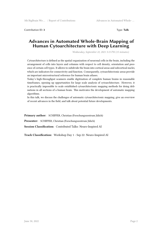Contribution ID: **3** Type: **Talk**

## **Advances in Automated Whole-Brain Mapping of Human Cytoarchitecture with Deep Learning**

*Wednesday, September 22, 2021 3:15 PM (15 minutes)*

Cytoarchitecture is defined as the spatial organization of neuronal cells in the brain, including the arrangement of cells into layers and columns with respect to cell density, orientation and presence of certain cell types. It allows to subdivide the brain into cortical areas and subcortical nuclei, which are indicators for connectivity and function. Consequently, cytoarchitectonic areas provide an important microstructural reference for human brain atlases.

Today's high-throughput scanners enable digitization of complete human brains in reasonable timeframes, opening up oppurtunities for large scale analysis of cytoarchitecture. However, it is practically impossible to scale established cytoarchitectonic mapping methods for doing delinations in all sections of a human brain. This motivates the development of automatic mapping algorithms.

In this talk, we discuss the challenges of automatic cytoarchitectonic mapping, give an overview of recent advances in the field, and talk about potential future developments.

**Primary author:** SCHIFFER, Christian (Forschungszentrum Jülich) **Presenter:** SCHIFFER, Christian (Forschungszentrum Jülich) **Session Classification:** Contributed Talks: Neuro-Inspired AI

**Track Classification:** Workshop Day 1 - Sep 22: Neuro-Inspired AI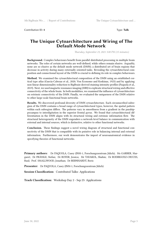Contribution ID: **4** Type: **Talk**

#### **The Unique Cytoarchitecture and Wiring of The Default Mode Network**

*Thursday, September 23, 2021 3:00 PM (15 minutes)*

**Background.** Complex behaviours benefit from parallel distributed processing in multiple brain networks. The roles of certain networks are well-defined, while others remain elusive. Arguably, none are so elusive as the default mode network (DMN); a distributed set of brain regions that decrease in activity during many externally oriented tasks. Revealing the cytoarchitectural composition and connectional layout of the DMN is crucial to defining its role in complex behaviours.

**Method.** We examined the cytoarchitectural composition of the DMN using an established cortical type atlas (García-Cabezas et al., 2020; Von Economo and Koskinas, 1925) and by applying non-linear dimensionality reduction to BigBrain-derived staining intensity profiles (Paquola et al., 2019). Next, we used magnetic resonance imaging (MRI) to explicate structural wiring and effective connectivity of the whole brain. In both modalities, we examined the influence of cytoarchitecture on extrinsic connectivity of the DMN. Finally, we evaluated the uniqueness of the DMN relative to other large-scale functional brain networks.

**Results.** We discovered profound diversity of DMN cytoarchitecture. Each circumscribed subregion of the DMN contains a broad range of cytoarchitectural types, however, the spatial pattern within each subregion differs. The patterns vary in smoothness from a gradient in the parahippocampus to interdigitation in the superior frontal gyrus. We found that cytoarchitectural differentiation in the DMN aligns with its structural wiring and extrinsic information flow. The structural heterogeneity of the DMN engenders a network-level balance in communication with external and internal sources, which is distinctive, relative to other functional networks.

**Conclusion.** These findings suggest a novel wiring diagram of structural and functional connectivity of the DMN that is compatible with its putative role in balancing internal and external information. Furthermore, our work demonstrates the import of neuroanatomical evidence in specifying theories of functional networks.

**Primary authors:** Dr PAQUOLA, Casey (INM-1, Forschungszentrum Jülich); Ms GARBER, Margaret; Dr FRÄSSLE, Stefan; Dr ROYER, Jessica; Mr TAVAKOL, Shahin; Dr RODRIGUEZ-CRUCES, Raul; Prof. SMALLWOOD, Jonathan; Dr BERNHARDT, Boris

**Presenter:** Dr PAQUOLA, Casey (INM-1, Forschungszentrum Jülich)

**Session Classification:** Contributed Talks: Applications

**Track Classification:** Workshop Day 2 - Sep 23: Applications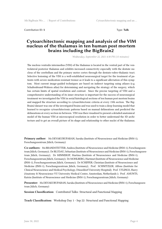**Contribution ID: 5** Type: **Talk** 

#### **Cytoarchitectonic mapping and analysis of the VIM nucleus of the thalamus in ten human post mortem brains including the BigBrain2**

*Wednesday, September 22, 2021 4:30 PM (15 minutes)*

The nucleus ventralis intermedius (VIM) of the thalamus is located in the ventral part of the ventrolateral posterior thalamus and exhibits increased connectivity especially with the dentate nucleus of the cerebellum and the primary motor cortex through the dentato-rubro-thalamic tract. Selective lesioning of the VIM is a well-established neurosurgical target for the treatment of patients with severe medication-resistant tremor as it leads to a significant alleviation of this symptom. Most current image-guided techniques are based on indirect targeting using atlases (e.g. Schaltenbrand-Wahren atlas) for determining and navigating the strategy of the surgery, which has certain limits of spatial resolution and contrast. Since the precise targeting of VIM and a comprehensive understanding of its inner structure is important for the success of neurosurgical treatment we investigated the VIM in serial histological sections of ten human post mortem brains and mapped the structure according to cytoarchitectonic criteria at every 15th section. The Big-Brain2 dataset was one of the investigated brains and was used to train a deep-learning model that learned to recognize cytoarchitectonic patterns based on manual delineations and predicted the delineations at every section in-between. VIM was then visualized to present a detailed anatomical model of the human VIM at microscopical resolution in order to better understand the 3D architecture and to get an overall picture of its shape and relationship to other nuclei of the thalamus.

**Primary author:** Ms DEVAKURUPARAN, Saruka (Institute of Neuroscience and Medicine (INM-1), Forschungszentrum Jülich, Germany)

**Co-authors:** Ms BRANDSTETTER, Andrea (Institute of Neuroscience and Medicine (INM-1), Forschungszentrum Jülich, Germany); Dr BLUDAU, Sebastian (Institute of Neuroscience and Medicine (INM-1), Forschungszentrum Jülich, Germany); Dr MINNEROP, Martina (Institute of Neuroscience and Medicine (INM-1), Forschungszentrum Jülich, Germany); Dr MOHLBERG, Hartmut (Institute of Neuroscience and Medicine (INM-1), Forschungszentrum Jülich, Germany); Dr SCHIFFER, Christian (Institute of Neuroscience and Medicine (INM-1), Forschungszentrum Jülich, Germany); Prof. SCHNITZLER, Alfons (Institute for Clinical Neuroscience and Medical Psychology, Düsseldorf University Hospital); Prof. UYLINGS, Harry (Anatomy & Neuroscience VU University Medical Center, Amsterdam, Netherlands ); Prof. AMUNTS, Katrin (Institute of Neuroscience and Medicine (INM-1), Forschungszentrum Jülich, Germany)

**Presenter:** Ms DEVAKURUPARAN, Saruka (Institute of Neuroscience and Medicine (INM-1), Forschungszentrum Jülich, Germany)

**Session Classification:** Contributed Talks: Structural and Functional Mapping

**Track Classification:** Workshop Day 1 - Sep 22: Structural and Functional Mapping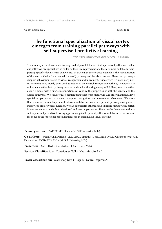**Contribution ID: 6** Type: **Talk** 

#### **The functional specialization of visual cortex emerges from training parallel pathways with self-supervised predictive learning**

*Wednesday, September 22, 2021 3:30 PM (15 minutes)*

The visual system of mammals is comprised of parallel, hierarchical specialized pathways. Different pathways are specialized in so far as they use representations that are more suitable for supporting specific downstream behaviours. In particular, the clearest example is the specialization of the ventral ("what") and dorsal ("where") pathways of the visual cortex. These two pathways support behaviours related to visual recognition and movement, respectively. To-date, deep neural networks have mostly been used as models of the ventral, recognition pathway. However, it is unknown whether both pathways can be modelled with a single deep ANN. Here, we ask whether a single model with a single loss function can capture the properties of both the ventral and the dorsal pathways. We explore this question using data from mice, who like other mammals, have specialized pathways that appear to support recognition and movement behaviours. We show that when we train a deep neural network architecture with two parallel pathways using a selfsupervised predictive loss function, we can outperform other models in fitting mouse visual cortex. Moreover, we can model both the dorsal and ventral pathways. These results demonstrate that a self-supervised predictive learning approach applied to parallel pathway architectures can account for some of the functional specialization seen in mammalian visual systems.

**Primary author:** BAKHTIARI, Shahab (McGill University, Mila)

**Co-authors:** MINEAULT, Patrick; LILLICRAP, Timothy (DeepMind); PACK, Christopher (McGill University); RICHARDS, Blake (McGill University, Mila)

**Presenter:** BAKHTIARI, Shahab (McGill University, Mila)

**Session Classification:** Contributed Talks: Neuro-Inspired AI

**Track Classification:** Workshop Day 1 - Sep 22: Neuro-Inspired AI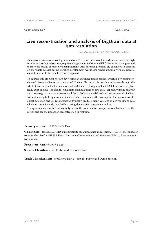Contribution ID: **7** Type: **Demo**

#### **Live reconstruction and analysis of BigBrain data at 1µm resolution**

*Thursday, September 23, 2021 4:00 PM (1h 30m)*

Analysis and visualization of big data, such as 3D reconstructions of human brain models from high resolution histological sections, requires a large amount of time and HPC resources to compute and to store the results of respective computations. And becomes prohibitively expensive to perform on the whole dataset during iterative development workflows, where multiple versions need to coexist in order to be visualized and compared.

To address this problem, we are developing an advanced image service, which is performing ondemand piecewise live reconstruction of 3D data. This way it is possible to browse through the whole 3D reconstructed brain at any level of detail even though such a 2 PB dataset does not physically exist on disk. The idea is to maintain manipulations on raw data - especially image analysis and image registration - as software modules in declaratively defined and lazily executed pipelines without storing full copies of manipulated data. This follows the assumption that operations like object detection and 3D reconstruction typically produce many versions of derived image data which are not efficiently handled by storing the modified image data to disk.

The system allows for full interactivity, where the user can for example move a landmark on the screen and see the impact on reconstruction in real time.

#### **Primary author:** CHERVAKOV, Pavel

**Co-authors:** Dr DICKSCHEID, Timo (Institute of Neuroscience and Medicine (INM-1), Forschungszentrum Jülich); Prof. AMUNTS, Katrin (Institute of Neuroscience and Medicine (INM-1), Forschungszentrum Jülich)

**Presenter:** CHERVAKOV, Pavel

**Session Classification:** Poster and Demo Session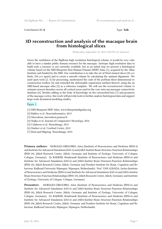Contribution ID: **8** Type: **Talk**

## **3D reconstruction and analysis of the macaque brain from histological slices**

*Wednesday, September 22, 2021 6:00 PM (15 minutes)*

Given the usefulness of the BigBrain high resolution histological volume, it would be very valuable to have a similar public domain resource for the macaque. Isotropic high resolution data to build such a resource is not currently available, but as an initial step we present a histological volume based on the NIH Blueprint Non-Human Primate (NHP) Atlas [1], acquired by the Allen Institute and funded by the NIH. Our contribution is to take the set of Nissl stained slices (50 *µm* thick, 250  $\mu$ m apart) and to create a smooth volume by calculating the optimal alignment. We used open tools [2, 3] for processing, modernized the code of the poSSum three-dimensional reconstruction toolbox [4] and extended the deformable registration method thereof, using the an MRI-based macaque atlas [5] as a reference template. We will use the reconstructed volume to estimate neuron densities across all cortical areas used in the core-nets.org macaque connectivity database [6]. Besides adding to the body of knowledge on the cytoarchitecture [7] and geometry of the macaque cortex, this work will provide tools to further analyze histological data and support large-scale dynamical modeling studies.

Figure 1

- [1] NIH Blueprint NHP Atlas, www.blueprintnhpatlas.org
- [2] Bakker et al. Neuroinformatics, 2015
- [\[3\] Micr](https://drive.google.com/file/d/17LkGapz6nl9Baz23AIa5zc8mv1huVhwQ/view?usp=sharing)odraw, microdraw.pasteur.fr
- [4] Majka et al. Journal of Comparative Neurology, 2016
- [5] Calabrese et al. NeuroImage, 2015
- [6] Markov et al. Cerebral Cortex, 2012
- [7] Beul and Hilgetag. NeuroImage, 2019

**Primary authors:** MORALES-GREGORIO, Aitor (Institute of Neuroscience and Medicine (INM-6) and Institute for Advanced Simulation (IAS-6) and JARA-Institut Brain Structure-Function Relationships (INM-10), Jülich Research Centre, Jülich, Germany and Institute of Zoology, University of Cologne, Cologne, Germany); Dr BAKKER, Rembrandt (Institute of Neuroscience and Medicine (INM-6) and Institute for Advanced Simulation (IAS-6) and JARA-Institut Brain Structure-Function Relationships (INM-10), Jülich Research Centre, Jülich, Germany and Donders Institute for Brain, Cognition and Behaviour, Radboud University Nijmegen, Nijmegen, Netherlands); Prof. VAN ALBADA, Sacha (Institute of Neuroscience and Medicine (INM-6) and Institute for Advanced Simulation (IAS-6) and JARA-Institut Brain Structure-Function Relationships (INM-10), Jülich Research Centre, Jülich, Germany and Institute of Zoology, University of Cologne, Cologne, Germany)

**Presenters:** MORALES-GREGORIO, Aitor (Institute of Neuroscience and Medicine (INM-6) and Institute for Advanced Simulation (IAS-6) and JARA-Institut Brain Structure-Function Relationships (INM-10), Jülich Research Centre, Jülich, Germany and Institute of Zoology, University of Cologne, Cologne, Germany); Dr BAKKER, Rembrandt (Institute of Neuroscience and Medicine (INM-6) and Institute for Advanced Simulation (IAS-6) and JARA-Institut Brain Structure-Function Relationships (INM-10), Jülich Research Centre, Jülich, Germany and Donders Institute for Brain, Cognition and Behaviour, Radboud University Nijmegen, Nijmegen, Netherlands)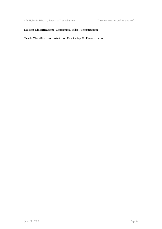5th BigBrain Wo … / Report of Contributions 3D reconstruction and analysis of …

#### **Session Classification:** Contributed Talks: Reconstruction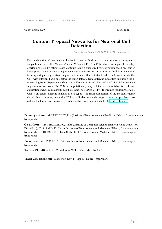Contribution ID: **9** Type: **Talk**

## **Contour Proposal Networks for Neuronal Cell Detection**

*Wednesday, September 22, 2021 3:45 PM (15 minutes)*

For the detection of neuronal cell bodies in 1-micron BigBrain data we propose a conceptually simple framework called *Contour Proposal Network* (CPN). The CPN detects and segments possibly overlapping cells by fitting closed contours using a fixed-sized representation based on Fourier Descriptors. State-of-the-art object detection architectures can be used as backbone networks, forming a single-stage instance segmentation model that is trained end-to-end. We evaluate the CPN with different backbone networks using datasets from different modalities, including the 1 micron BigBrain. Experiments show that CPNs outperform U-Net and Mask R-CNN in instance segmentation accuracy. The CPN is computationally very efficient and is suitable for real-time applications when coupled with backbones such as ResNet-50 FPN. The trained models generalize well, even across different domains of cell types. The main assumption of the method regards closed object contours, hence the CPN is applicable to a wide range of detection problems also outside the biomedical domain. PyTorch code has been made available at: celldetection.org

**Primary author:** Mr UPSCHULTE, Eric (Institute of Neuroscience and Me[dicine \(INM-1\), Fo](https://celldetection.org)rschungszentrum Jülich)

**Co-authors:** Prof. HARMELING, Stefan (Institute of Computer Science, Heinrich Heine University, Düsseldorf); Prof. AMUNTS, Katrin (Institute of Neuroscience and Medicine (INM-1), Forschungszentrum Jülich); Dr DICKSCHEID, Timo (Institute of Neuroscience and Medicine (INM-1), Forschungszentrum Jülich)

**Presenter:** Mr UPSCHULTE, Eric (Institute of Neuroscience and Medicine (INM-1), Forschungszentrum Jülich)

**Session Classification:** Contributed Talks: Neuro-Inspired AI

**Track Classification:** Workshop Day 1 - Sep 22: Neuro-Inspired AI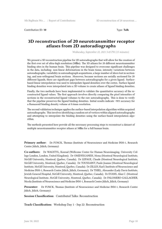Contribution ID: **10** Type: **Talk**

#### **3D reconstruction of 20 neurotransmitter receptor atlases from 2D autoradiographs**

*Wednesday, September 22, 2021 5:45 PM (15 minutes)*

We present a 3D reconstruction pipeline for 2D autoradiographs that will allow for the creation of the first ever set of ultra-high resolution (50m). The 3D atlases for 20 different neurotransmitter binding sites in the human brain. This pipeline was designed to overcome significant challenges in the data, including: non-linear deformations in the brain tissue, intensity variations between autoradiographs, variability in autoradiograph acquisitions, a large number of slices lost in sectioning, and non-orthogonal brain sections. Moreover, because sections are serially sectioned for 20 different ligands, there are significant gaps between autoradiographs for a given ligand. Surfacebased linear interpolation was used to interpolate ligand densities over the cortex. Surface ligand binding densities were interpolated into a 3D volume to create atlases of ligand binding densities.

Finally, the two methods have been implemented to validate the quantitative accuracy of the reconstructed ligand values. The first approach involves directly comparing the pixel intensities of sections in the reconstructed ligand volumes to the raw autoradiographs. This is done to verify that the pipeline preserves the ligand binding densities. Initial results indicate ~90% accuracy for a flumazenil binding density volume at 0.6mm resolution.

The second validation technique applies the surface-based interpolation algorithm within acquired autoradiographs. This involves identifying a random set of vertices within aligned autoradiographs and attempting to interpolate the binding densities using the surface-based interpolation algorithm.

The methods presented here provide all the necessary processing steps to reconstruct a dataset of multiple neurotransmitter receptor atlases at 50<sup> $M$ </sup>m for a full human brain.

**Primary author:** Dr FUNCK, Thomas (Institute of Neuroscience and Medicine INM-1, Research Centre Jülich, Jülich, Germany)

**Co-authors:** Dr WAGSTYL, Konrad (Wellcome Center for Human Neuroimaging, University College London, London, United Kingdom); Dr OMIDYEGANEH, Mona (Montreal Neurological Institute, McGill University, Montreal, Quebec, Canada); Dr LEPAGE, Claude (Montreal Neurological Institute, McGill University, Montreal, Quebec, Canada); Dr TOUSSAINT, Paule-Joanne (Montreal Neurological Institute, McGill University, Montreal, Quebec, Canada); Dr ZILLES, Karl ( Institute of Neuroscience and Medicine INM-1, Research Centre Jülich, Jülich, Germany); Dr THIEL, Alexander (Lady Davis Institute, Jewish General Hospital, McGill University, Montreal, Quebec, Canada); Dr EVANS, Alan C. (Montreal Neurological Institute, McGill University, Montreal, Quebec, Canada); Dr PALOMERO-GALLAGHER, Nicola (Institute of Neuroscience and Medicine INM-1, Research Centre Jülich, Jülich, Germany)

**Presenter:** Dr FUNCK, Thomas (Institute of Neuroscience and Medicine INM-1, Research Centre Jülich, Jülich, Germany)

**Session Classification:** Contributed Talks: Reconstruction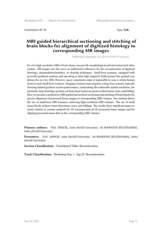Contribution ID: **11** Type: **Talk**

#### **MRI guided hierarchical sectioning and stitching of brain blocks for alignment of digitized histology to corresponding MR images**

*Wednesday, September 22, 2021 6:15 PM (15 minutes)*

Ex-vivo high-resolution MRI of brain tissue can provide morphological and microstructural information. MR images can also serve as undistorted references for the reconstruction of digitized histology, immunohistochemistry, or clearing techniques. Small-bore scanners, equipped with powerful gradients systems and operating at ultra-high magnetic fields present the optimal conditions for ex-vivo MRI. However, space constraints make it impossible to scan a whole human brain in such small-bore scanners. Imaging a human brain requires a large bore scanner, typically showing limited gradient system performance, constraining the achievable spatial resolution. Importantly, large histology sections cut from large brains are prone to distortions, tears, and folding. Here we present a method for MRI-guided hierarchical sectioning and stitching of brain blocks for precise alignment of processed tissue images to corresponding MRI volumes. Our method allows the use of small-bore MRI scanners, achieving high-resolution-MRI volumes. The use of small tissue blocks reduces tissue distortions, tears, and foldings. The results show significant improvements relative to current methods for 3D reconstruction of 2D processed tissue images and for aligning processed tissue data to the corresponding MRI volumes.

**Primary authors:** Prof. SHMUEL, Amir (McGill University); Mr BOOPATHY JEGATHAMBAL, Sethu (McGill University)

**Presenters:** Prof. SHMUEL, Amir (McGill University); Mr BOOPATHY JEGATHAMBAL, Sethu (McGill University)

**Session Classification:** Contributed Talks: Reconstruction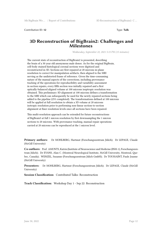Contribution ID: 12 Type: Talk

#### **3D Reconstruction of BigBrain2: Challenges and Milestones**

*Wednesday, September 22, 2021 5:15 PM (15 minutes)*

The current state of reconstruction of BigBrain2 is presented, describing the brain of a 30 year old anonymous male donor. As for the original BigBrain, cell-body stained histological coronal sections were digitized and reconstructed in 3D. Sections are first repaired at 20 microns in-plane resolution to correct for manipulation artifacts, then aligned to the MRI serving as the undistorted frame of reference. Given the time-consuming nature of the manual aspects of the corrections, including provenance tracking of the operations for reproducibility and variability assessment in section repairs, every fifth section was initially repaired and a first optically-balanced aligned volume at 100 microns isoptropic resolution was obtained. This preliminary 3D alignment at 100 microns defines a transformation to the MRI which can subsequently be used for the newly repaired sections being added to the pipeline (25% completed). The transformations defined at 100 microns will be applied at full resolution to obtain a 3D volume at 20 microns isotropic resolution prior to performing non-linear section-to-section alignment at finer resolution levels once all sections have been repaired.

This multi-resolution approach can be extended for future reconstructions of BigBrain3 at full 1 micron resolution by first downsampling the 1 micron sections to 20 microns. With provenance tracking, manual repair operations carried at 20 microns can be reproduced at the 1 micron level.

**Primary authors:** Dr MOHLBERG, Hartmut (Forschungszentrum Jülich); Dr LEPAGE, Claude (McGill University)

**Co-authors:** Prof. AMUNTS, Katrin (Institute of Neuroscience and Medicine (INM-1), Forschungszentrum Jülich); Dr EVANS, Alan C. (Montreal Neurological Institute, McGill University, Montreal, Quebec, Canada); WENZEL, Susanne (Forschungszentrum Jülich GmbH); Dr TOUSSAINT, Paule Joanne (McGill University)

**Presenters:** Dr MOHLBERG, Hartmut (Forschungszentrum Jülich); Dr LEPAGE, Claude (McGill University)

**Session Classification:** Contributed Talks: Reconstruction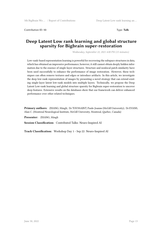Contribution ID: **13** Type: **Talk**

#### **Deep Latent Low rank learning and global structure sparsity for Bigbrain super-restoration**

*Wednesday, September 22, 2021 4:00 PM (15 minutes)*

Low-rank-based representation learning is powerful for recovering the subspace structures in data, which has obtained an impressive performance; however, it still cannot obtain deeply hidden information due to the essence of single-layer structures. Structure and nonlocal patch similarity have been used successfully to enhance the performance of image restoration. However, these techniques can often remove textures and edges or introduce artifacts. In this article, we investigate the deep low-rank representation of images by presenting a novel strategy that can extend existing single-layer latent low-rank models into multiple layers. Technically, we propose the Deep Latent Low-rank learning and global structure sparsity for Bigbrain super-restoration to uncover deep features. Extensive results on the databases show that our framework can deliver enhanced performance over other related techniques.

**Primary authors:** ZHANG, Mingli; Dr TOUSSAINT, Paule-Joanne (McGill University); Dr EVANS, Alan C. (Montreal Neurological Institute, McGill University, Montreal, Quebec, Canada)

**Presenter:** ZHANG, Mingli

**Session Classification:** Contributed Talks: Neuro-Inspired AI

**Track Classification:** Workshop Day 1 - Sep 22: Neuro-Inspired AI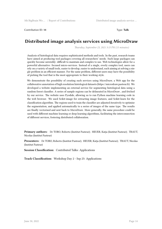Contribution ID: **14** Type: **Talk**

## **Distributed image analysis services using MicroDraw**

*Thursday, September 23, 2021 3:15 PM (15 minutes)*

Analysis of histological data requires sophisticated methods and tools. In the past, research teams have aimed at producing tool packages covering all researchers' needs. Such large packages can quickly become unwieldy: difficult to maintain and complex to use. Web technologies allow for a powerful alternative: focused micro-services. Instead of a single, overly complex tool, users can rely on a variety of small tools, easier to develop, easier to understand, each aiming at solving a single problem in an efficient manner. For the same problem, different users may have the possibility of picking the tool that is the most appropriate to their working style.

We demonstrate the possibility of creating such services using MicroDraw, a Web app for the collaborative annotation of high resolution histological datasets (https://microdraw.pasteur.fr). We developed a website implementing an external service for segmenting histological data using a random forest classifier. A series of sample regions can be delineated in MicroDraw , and fetched by our service. The website uses Pyodide, allowing us to run Python machine learning code in the web browser. We used Scikit-image for extracting image features, and Scikit-learn for the classification algorithm. The regions used to train the classifier are adjusted iteratively to optimise the segmentation, and applied automatically to a series of images of the same type. The results are finally vectorised and sent back to MicroDraw. More generally, the same procedure could be used with different machine learning or deep learning algorithms, facilitating the interconnection of different services, fostering distributed collaboration.

**Primary authors:** Dr TORO, Roberto (Institut Pasteur); HEUER, Katja (Institut Pasteur); TRAUT, Nicolas (Institut Pasteur)

**Presenters:** Dr TORO, Roberto (Institut Pasteur); HEUER, Katja (Institut Pasteur); TRAUT, Nicolas (Institut Pasteur)

**Session Classification:** Contributed Talks: Applications

**Track Classification:** Workshop Day 2 - Sep 23: Applications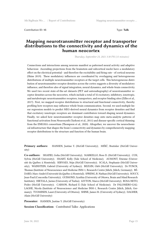Contribution ID: 15 Type: Talk

#### **Mapping neurotransmitter receptor and transporter distributions to the connectivity and dynamics of the human neocortex**

*Thursday, September 23, 2021 3:30 PM (15 minutes)*

Connections and interactions among neurons manifest as patterned neural activity and adaptive behaviour. Ascending projections from the brainstem and subcortical nuclei have a modulatory effect on the electrical potential - and therefore the excitability and firing rate - of cortical neurons (Shine 2019). These modulatory influences are coordinated by overlapping and heterogeneous distributions of multiple neurotransmitter receptors at the target cells. This heterogeneous distribution of neurotransmitter receptor densities across the cortex suggests a diversity of modulatory influence, and therefore also of signal integration, neural dynamics, and whole-brain connectivity. We used two recent state-of-the-art datasets (PET and autoradiography) of neurotransmitter receptor densities across the neocortex, which include a total of 32 excitatory, inhibitory, ionotropic, and metabotropic neurotransmitter receptors, transporters, and receptor binding sites (Zilles et al., 2017). First, we mapped receptor distributions to structural and functional connectivity, thereby profiling how receptors may influence whole-brain communication. Second, we used multiple linear regression models to predict MEG-derived neural dynamics from receptor densities and find that excitatory ionotropic receptors are dominant contributors toward shaping neural dynamics. Finally, we asked how neurotransmitter receptor densities map onto meta-analytic patterns of functional activation from Neurosynth (Yarkoni et al., 2011) and disease-specific cortical thinning from the ENIGMA consortium (Thompson et al., 2020). Altogether, we uncover the neurochemical infrastructure that shapes the brain's connectivity and dynamics by comprehensively mapping receptor distributions to the structure and function of the human brain.

**Primary authors:** HANSEN, Justine Y. (McGill University); MIŠIĆ, Bratislav (McGill University)

**Co-authors:** SHAFIEI, Golia (McGill University); MARKELLO, Ross D. (McGill University); COX, Sylvia (McGill University); SMART, Kelly (Yale School of Medicine); AUMONT, Etienne (Université du Québec à Montréal); SERVAES, Stijn (McGill University); SCALA, Stephanie (McGill University); WAINSTEIN, Gabriel (University of Sydney); BEZGIN, Gleb (McGill University); Dr FUNCK, Thomas (Institute of Neuroscience and Medicine INM-1, Research Centre Jülich, Jülich, Germany); BÉ-DARD, Marc-André (Université du Québec à Montréal); SPRENG, R. Nathan (McGill University); SOUCY, Jean-Paul (Concordia University); GUIMOND, Synthia (University of Ottawa, Brain and Mind Research Institute); HIETALA, Jarmo (University of Turku); LEYTON, Marco (McGill University); ROSA-NETO, Pedro (McGill University); CARSON, Richard E (Yale School of Medicine); Dr PALOMERO-GAL-LAGHE, Nicola (Institute of Neuroscience and Medicine INM-1, Research Centre Jülich, Jülich, Germany); TUOMINEN, Lauri (University of Ottawa); SHINE, James M. (University of Sydney); DAGHER, Alain (McGill University)

Presenter: HANSEN, Justine Y. (McGill University)

**Session Classification:** Contributed Talks: Applications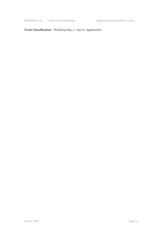5th BigBrain Wo ... / Report of Contributions Mapping neurotransmitter recepto ...

#### **Track Classification:** Workshop Day 2 - Sep 23: Applications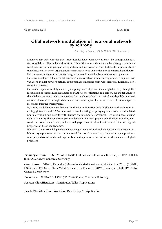Contribution ID: **16** Type: **Talk**

#### **Glial network modulation of neuronal network synchrony**

*Thursday, September 23, 2021 3:45 PM (15 minutes)*

Extensive research over the past three decades have been revolutionary by conceptualizing a neuron-glial paradigm which aims at describing the mutual dependence between glial and neuronal processes at multiple spatiotemporal scales. However, glial contributions to large-scale functional neuronal network organization remain mysterious due to the lack of empirical and theoretical frameworks elaborating on neuron-glial interaction mechanisms at a macroscopic scale.

Here, we developed a biophysical neuron-glia mass network modeling approach to explore how variations in glial network activity could reshape emergent brain-wide neuronal functional connectivity patterns.

Our model explains local dynamics by coupling bilaterally neuronal and glial activity though the modulation of extracellular glutamate and GABA concentrations. In addition, our model assumes that glial masses interconnect only to their first neighbors along the cortical mantle, while neuronal masses interconnect through white matter tracts as empirically derived from diffusion magnetic resonance imaging tractography.

By tuning model parameters that control the relative contributions of glial network activity in inducing glutamate and GABA neuronal release by acting on presynaptic neurons, we simulated multiple whole brain activity with distinct spatiotemporal signatures. We used phase-locking value to quantify the synchrony patterns between neuronal populations thereby providing neuronal functional connectomes, and we used graph theoretical indices to describe the topological properties of these connectomes.

We report a non-trivial dependence between glial network induced changes in excitatory and inhibitory synaptic transmission and neuronal functional connectivity. Importantly, we provide a new perspective of functional organization and operation of neural networks, inclusive of glial processes.

**Primary authors:** BIN KA'B ALI, Obaï (PERFORM Centre, Concordia University); BENALI, Habib (PERFORM Centre, Concordia University)

**Co-authors:** VIDAL, Alexandre (Laboratoire de Mathématiques et Modélisation d'Évry (LaMME), CNRS UMR 8071, Univ. d'Évry-Val- d'Essonne, Évry, France); GROVA, Christophe (PERFORM Centre, Concordial University)

**Presenter:** BIN KA'B ALI, Obaï (PERFORM Centre, Concordia University)

**Session Classification:** Contributed Talks: Applications

**Track Classification:** Workshop Day 2 - Sep 23: Applications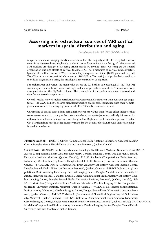Contribution ID: **17** Type: **Poster**

#### **Assessing microstructural sources of MRI cortical markers in spatial distribution and aging**

*Thursday, September 23, 2021 4:00 PM (1h 30m)*

Magnetic resonance imaging (MRI) studies show that the majority of the T1-weighted contrast stems from myeloarchitecture, but cytoarchitecture still has an impact on the signal. Many cortical MRI markers are thought of as being driven mostly by myelin. Here, we compare the spatial organization and age effects of cortical thickness (CT) to 3 measures of cortical microstructure (gray-white matter contrast [GWC], the boundary sharpness coefficient [BSC], gray matter [GM] T1w/T2w ratio, and superficial white matter [SWM] T1w/T2w ratio), and probe their specificity to cellular organization using the histological reconstruction of BigBrain.

For each marker and vertex, the mean value across the 127 healthy subjects (aged 18-81, 76F, 51M) was computed and a linear model with age and sex as predictors was fitted. The markers were also generated on the BigBrain volume. The correlation of the surface maps was assessed and significance tested via spin tests.

Overall, results showed higher correlations between spatial distributions than between age trajectories. The GWC and BSC showed significant positive spatial correspondence with their homologous measures derived using BigBrain, while T1w/T2w ratio measures did not.

Our finding of spatial correlations being higher for mean values than for age effect indicates that some measures tend to covary at the cortex-wide level, but age trajectories are likely influenced by different interactions of microstructural changes. Our BigBrain results indicate a general trend of GM T1w signal and myelin being inversely related to the density of cells, although that relationship is weak to moderate.

**Primary author:** PARENT, Olivier (Computational Brain Anatomy Laboratory, Cerebral Imaging Centre, Douglas Mental Health University Institute, Montreal, Quebec, Canada)

**Co-authors:** OLAFSON, Emily (Department of Radiology, Weill Cornell Medicine, New York, USA); BUSSY, Aurélie (Computational Brain Anatomy Laboratory, Cerebral Imaging Centre, Douglas Mental Health University Institute, Montreal, Quebec, Canada); TULLO, Stephanie (Computational Brain Anatomy Laboratory, Cerebral Imaging Centre, Douglas Mental Health University Institute, Montreal, Quebec, Canada); SALACIAK, Alyssa (Computational Brain Anatomy Laboratory, Cerebral Imaging Centre, Douglas Mental Health University Institute, Montreal, Quebec, Canada); BEDFORD, Saashi A. (Computational Brain Anatomy Laboratory, Cerebral Imaging Centre, Douglas Mental Health University Institute, Montreal, Quebec, Canada); FARZIN, Sarah (Computational Brain Anatomy Laboratory, Cerebral Imaging Centre, Douglas Mental Health University Institute, Montreal, Quebec, Canada); BÉ-LAND, Marie-Lise (Computational Brain Anatomy Laboratory, Cerebral Imaging Centre, Douglas Mental Health University Institute, Montreal, Quebec, Canada); VALIQUETTE, Vanessa (Computational Brain Anatomy Laboratory, Cerebral Imaging Centre, Douglas Mental Health University Institute, Montreal, Quebec, Canada); TARDIF, Christine L. (Department of Biomedical Engineering, McGill University, Montreal, Quebec, Canada); DEVENYI, Gabriel A. (Computational Brain Anatomy Laboratory, Cerebral Imaging Centre, Douglas Mental Health University Institute, Montreal, Quebec, Canada); CHAKRAVARTY, M. Mallar (Computational Brain Anatomy Laboratory, Cerebral Imaging Centre, Douglas Mental Health University Institute, Montreal, Quebec, Canada)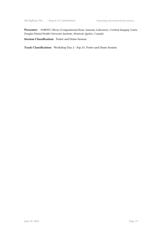**Presenter:** PARENT, Olivier (Computational Brain Anatomy Laboratory, Cerebral Imaging Centre, Douglas Mental Health University Institute, Montreal, Quebec, Canada)

**Session Classification:** Poster and Demo Session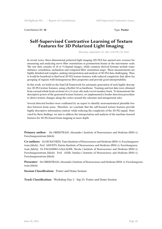Contribution ID: **18** Type: **Poster**

#### **Self-Supervised Contrastive Learning of Texture Features for 3D Polarized Light Imaging**

*Thursday, September 23, 2021 4:00 PM (1h 30m)*

In recent years, three-dimensional polarized light imaging (3D-PLI) has opened new avenues for measuring and analyzing nerve fiber orientations in postmortem brains at the micrometer scale. The raw data consists of 18 or 9-channel images, while common derived formats include transmittance, retardation, inclination and computed fiber orientation maps. These measurements are highly detailed and complex, making interpretation and analysis of 3D-PLI data challenging. Thus, it would be beneficial to find local 3D-PLI texture features with reduced complexity that allow for grouping of regions with homogeneous fiber properties and provide good interpretability.

In this work, we build on the SimCLR framework for automatic generation of such highly descriptive 3D-PLI texture features, using a ResNet-50 as backbone. Training and test data were obtained from coronal whole brain sections of a 2.4-year-old, male vervet monkey brain. To demonstrate the descriptive power of the generated texture features, we implemented a border detection procedure to detect texture changes along the cortex around the calcarine and intraparietal sulci.

Several detected borders were confirmed by an expert to identify neuroanatomical plausible borders between brain areas. Therefore, we conclude that the self-learned texture features provide highly descriptive information content, while reducing the complexity of the 3D-PLI signal. Motivated by these findings, we aim to address the interpretation and analysis of the machine-learned features for 3D-PLI-based brain mapping in more depth.

**Primary author:** Mr OBERSTRASS, Alexander ( Institute of Neuroscience and Medicine (INM-1), Forschungszentrum Jülich)

**Co-authors:** Dr DICKSCHEID, Timo (Institute of Neuroscience and Medicine (INM-1), Forschungszentrum Jülich); Prof. AMUNTS, Katrin (Institute of Neuroscience and Medicine (INM-1), Forschungszentrum Jülich); Dr PALOMERO-GALLAGHE, Nicola ( Institute of Neuroscience and Medicine (INM-1), Forschungszentrum Jülich); Prof. AXER, Markus ( Institute of Neuroscience and Medicine (INM-1), Forschungszentrum Jülich)

**Presenter:** Mr OBERSTRASS, Alexander ( Institute of Neuroscience and Medicine (INM-1), Forschungszentrum Jülich)

**Session Classification:** Poster and Demo Session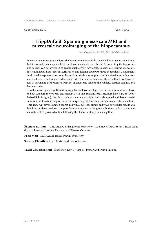Contribution ID: **19** Type: **Demo**

### **HippUnfold: Spanning mesoscale MRI and microscale neuroimaging of the hippocampus**

*Thursday, September 23, 2021 4:00 PM (1h 30m)*

In current neuroimaging analyses the hippocampus is typically modelled as a subcortical volume, but it is actually made up of a folded archicortical mantle, or 'ribbon'. Representing the hippocampus as such can be leveraged to enable qualitatively new analyses, such as registration, despite inter-individual differences in gyrification and folding structure, through topological alignment. Additionally, representation as a ribbon allows the hippocampus to be factorized into surface area and thickness, which can be further subdivided for laminar analyses. These methods are thus critical in advancing MRI research from the macroscopic scale to the subfield, cortical column, and laminar scales.

This demo will apply HippUnfold, an App that we have developed for the purposes outlined above, to both standard in-vivo MRI and microscale ex-vivo imaging (MRI, BigBrain histology, or 3D polarized light imaging). We illustrate how the same principles and code applied at different spatial scales can still make up a good basis for morphological, functional, or laminar structural analyses. This demo will cover common usages, individual subject outputs, and ways to visualize results and build second-level analyses. Support for any attendees wishing to apply these tools to their own datasets will be provided offline following the demo, or at any time via github.

**Primary authors:** DEKRAKER, Jordan (McGill University); Dr BERNHARDT, Boris; KHAN, Ali R (Robarts Research Institute, University of Western Ontario)

Presenter: DEKRAKER, Jordan (McGill University)

**Session Classification:** Poster and Demo Session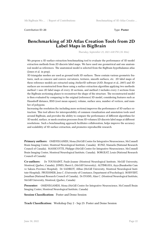Contribution ID: 23 Type: **Poster** 

#### **Benchmarking of 3D Atlas Creation Tools from 2D Label Maps in BigBrain**

*Thursday, September 23, 2021 4:00 PM (1h 30m)*

We propose a 3D surface extraction benchmarking tool to evaluate the performance of 3D model extraction methods from 2D discrete label maps. We have used one geometrical and one anatomical model as references. The anatomical model is selected from the BigBrain hypothalamus atlas (Jones et al. in prep).

3D triangular meshes are used as ground truth 3D surfaces. These contain various geometric features, such as concave and convex curvatures, textures, smooth surfaces, etc. 2D label maps of these reference models are extracted using Atelier3D software (A3D; Borgeat et al., 2007) and 3D surfaces are reconstructed from these using a surface extraction algorithm applying two methods: method 1 uses 2D label maps of every 20 sections, and method 2 includes every 2 sections from the BigBrain sectioning planes to reconstruct the shape of the structure. The reconstructed model is then evaluated by comparing to the original (reference) 3D model, considering features such as Hausdorff distance, RMS (root mean square), volume, surface area, number of vertices, and number of polygons.

Increasing the resolution (by including more sections) improves the performance of 3D surface extraction. This tool allows for interoperability of common visualization and annotation tools used around BigBrain, and provides the ability to compare the performance of different algorithms for 3D model, surface, or mesh creation processes from 3D volumes/2D discrete label maps at different resolutions. Such a benchmarking approach facilitates collaboration, helps improve the accuracy and scalability of 3D surface extraction, and promotes reproducible research.

**Primary authors:** OMIDYEGANEH, Mona (McGill Centre for Integrative Neuroscience, McConnell Brain Imaging Center, Montreal Neurological Institute, Canada); KUNZ, Manuela (National Research Council of Canada); MASSICOTTE, Philippe (McGill Centre for Integrative Neuroscience, McConnell Brain Imaging Center, Montreal Neurological Institute, Canada); BORGEAT, Louis (National Research Council of Canada)

**Co-authors:** Dr TOUSSAINT, Paule-Joanne (Montreal Neurological Institute, McGill University, Montreal, Quebec, Canada); JONES, Sherri L. (McGill University); ALTINKAYA, Ayça (Basaksehir Cam ve Sakura Province Hospital); Dr SADIKOT, Abbas (McGill University, Montreal Neurological Institute-Hospital); PRUESSNER, Jens C. (University of Constance, Department of Psychology); BOISVERT, Jonathan (National Research Council of Canada); Dr EVANS, Alan C. (Montreal Neurological Institute, McGill University, Montreal, Quebec, Canada)

**Presenter:** OMIDYEGANEH, Mona (McGill Centre for Integrative Neuroscience, McConnell Brain Imaging Center, Montreal Neurological Institute, Canada)

**Session Classification:** Poster and Demo Session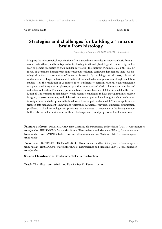Contribution ID: **24** Type: **Talk**

### **Strategies and challenges for building a 1 micron brain from histology**

*Wednesday, September 22, 2021 5:30 PM (15 minutes)*

Mapping the microscopical organization of the human brain provides an important basis for multimodal brain atlases, and is indispensable for linking functional, physiological, connectivity, molecular, or genetic properties to their cellular correlates. The BigBrain (Amunts et al., 2013) is a 3D model of a complete human brain at microscopic resolution, constructed from more than 7000 histological sections at a resolution of 20 micron isotropic. By resolving cortical layers, subcortical nuclei, and even larger individual cell bodies, it has enabled a new generation of high-resolution studies. Yet, the resolution of 20 micron is not sufficient to perform classical cytoarchitectonic mapping in arbitrary cutting planes, or quantitative analysis of 3D distributions and numbers of individual cell bodies. For such types of analyses, the construction of 3D brain model at the resolution of 1 micrometer is mandatory. While recent technologies in high-throughput microscopic imaging, large-scale storage, and high-performance computing have brought such an endeavour into sight, several challenges need to be addressed to compute such a model. These range from distributed data management to new image registration paradigms, very large numerical optimization problems, to cloud technologies for providing remote access to image data in the Petabyte range. In this talk, we will describe some of these challenges and recent progress on feasible solutions.

**Primary authors:** Dr DICKSCHEID, Timo (Institute of Neuroscience and Medicine (INM-1), Forschungszentrum Jülich); HUYSEGOMS, Marcel (Institute of Neuroscience and Medicine (INM-1), Forschungszentrum Jülich); Prof. AMUNTS, Katrin (Institute of Neuroscience and Medicine (INM-1), Forschungszentrum Jülich)

**Presenters:** Dr DICKSCHEID, Timo (Institute of Neuroscience and Medicine (INM-1), Forschungszentrum Jülich); HUYSEGOMS, Marcel (Institute of Neuroscience and Medicine (INM-1), Forschungszentrum Jülich)

**Session Classification:** Contributed Talks: Reconstruction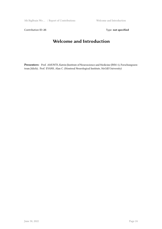Contribution ID: 25 Type: **not specified** 

# **Welcome and Introduction**

**Presenters:** Prof. AMUNTS, Katrin (Institute of Neuroscience and Medicine (INM-1), Forschungszentrum Jülich); Prof. EVANS, Alan C. (Montreal Neurological Institute, McGill University)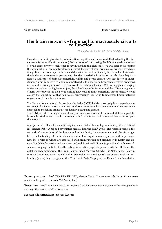Contribution ID: **26** Type: **Keynote Lecture**

#### **The brain network - from cell to macroscale circuits to function**

*Wednesday, September 22, 2021 6:30 PM (1 hour)*

How does our brain give rise to brain function, cognition and behaviour? Understanding the fundamental features of brain networks ('the connectome') and linking the different levels and scales of brain connectivity to each other is key in tackling this challenge. We will start by discussing the organization of brain networks and network theories of how 'principles of wiring' may shape integration, functional specialisation and diversity. We will particularly take a look at how variation in these connectome properties may give rise to variation in behavior, but also how they may shape a landscape of brain disconnectivity within and across disease. One key factor in understanding brain connectivity (and disconnectivity) is to understand how connectivity is organised across scales, from genes to cells to macroscale circuits to behaviour. Celebrating game-changing initiatives such as the BigBrain project, the Allen Human Brain Atlas and the UKB (among many others) who provide the field with exciting new ways to link connectivity across scales, we will discuss the opportunities that 'multiscale neuroscience' can bring to understand brain network organization in health and disease.

The Sievers Computational Neuroscience Initiative (SCNI) builds cross-disciplinary experience in neurological sciences research and neuroinformatics to establish a computational neuroscience approach to modelling brain states in healthy ageing and disease.

The SCNI provides training and mentoring for tomorrow's researchers to undertake and partake in complex studies, and to build the computer infrastructures and brain-based datasets to support this research.

Martijn van den Heuvel is a multidisciplinary scientist with a background in Cognitive Artificial Intelligence (MSc, 2004) and psychiatric medical imaging (PhD, 2009). His research focus is the network of connectivity of the human and animal brain, the connectome, with the aim to get better understanding of the fundamental rules of wiring of nervous systems, and in particular how these rules of wiring are associated with brain function and disfunction in health and disease. His field of expertise includes structural and functional MR imaging combined with network science, bridging the field of mathematics, informatics, psychology and medicine. He heads the dutchconnectomelab.org at the Brain Center Rudolf Magnus, Utrecht, The Netherlands. Martijn received Dutch Research Council NWO-VIDI and NWO-VENI awards, an international MQ Fellowship (www.joingmq.org), and the 2013 Dutch Brain Trophy of the Dutch Brain Foundation.

**Primary author:** Prof. VAN DEN HEUVEL, Martijn (Dutch Connectome Lab, Center for neurogenomics and cognitive research, VU Amsterdam)

**Presenter:** Prof. VAN DEN HEUVEL, Martijn (Dutch Connectome Lab, Center for neurogenomics and cognitive research, VU Amsterdam)

#### **Session Classification:** Sievers Lecture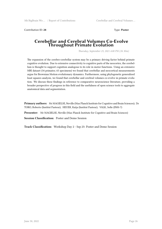Contribution ID: **28** Type: **Poster**

#### **Cerebellar and Cerebral Volumes Co-Evolve Throughout Primate Evolution**

*Thursday, September 23, 2021 4:00 PM (1h 30m)*

The expansion of the cerebro-cerebellar system may be a primary driving factor behind primate cognitive evolution. Due to extensive connectivity to cognitive parts of the neocortex, the cerebellum is thought to support cognition analogous to its role in motor functions. Using an extensive MRI dataset (34 primates; 65 specimens) we found that cerebellar and neocortical measurements argue for Brownian Motion evolutionary dynamics. Furthermore, using phylogenetic generalized least squares analysis, we found that cerebellar and cerebral volumes co-evolve in primate evolution. We discuss these findings in reference to comparative neuroscience literature, providing a broader perspective of progress in this field and the usefulness of open science tools to aggregate anatomical data and segmentation.

**Primary authors:** Mr MAGIELSE, Neville (Max Planck Institute for Cognitive and Brain Sciences); Dr TORO, Roberto (Institut Pasteur); HEUER, Katja (Institut Pasteur); VALK, Sofie (INM-7)

**Presenter:** Mr MAGIELSE, Neville (Max Planck Institute for Cognitive and Brain Sciences)

**Session Classification:** Poster and Demo Session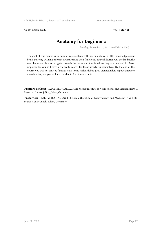Contribution ID: 29 Type: Tutorial

# **Anatomy for Beginners**

*Tuesday, September 21, 2021 3:00 PM (1h 20m)*

The goal of this course is to familiarize scientists with no, or only very little, knowledge about brain anatomy with major brain structures and their functions. You will learn about the landmarks used by anatomists to navigate through the brain, and the functions they are involved in. Most importantly, you will have a chance to search for these structures yourselves. By the end of the course you will not only be familiar with terms such as lobes, gyri, diencephalon, hippocampus or visual cortex, but you will also be able to find these structu

**Primary author:** PALOMERO-GALLAGHER, Nicola (Institute of Neuroscience and Medicine INM-1, Research Centre Jülich, Jülich, Germany)

**Presenter:** PALOMERO-GALLAGHER, Nicola (Institute of Neuroscience and Medicine INM-1, Research Centre Jülich, Jülich, Germany)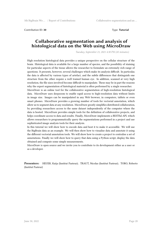Contribution ID: **30** Type: **Tutorial**

#### **Collaborative segmentation and analysis of histological data on the Web using MicroDraw**

*Tuesday, September 21, 2021 4:30 PM (45 minutes)*

High resolution histological data provides a unique perspective on the cellular structure of the brain. Histological data is available for a large number of species, and the possibility of staining for particular aspects of the tissue allows the researcher to formulate an extremely rich range of questions. It presents, however, several challenges which make its analysis difficult. In particular, the data is affected by various types of artefact, and the subtle differences that distinguish one structure from the other require a well trained human eye. In addition, scanned at very high resolution, the file sizes involved become difficult to manipulate. These may be in part the reasons why the expert segmentation of histological material is often performed by a single researcher.

MicroDraw is an online tool for the collaborative segmentation of high-resolution histological data. MicroDraw uses deepzoom to enable rapid access to high-resolution data without limits in image size. Images can be manipulated in any Web browser, in computers, tablets or even smart phones. MicroDraw provides a growing number of tools for vectorial annotation, which allow us to segment data at any resolution. MicroDraw greatly simplifies distributed collaboration, by providing researchers access to the same dataset independently of the computer where the data is hosted. MicroDraw provides simple tools for the definition of collaborative projects, and helps coordinate access to data and results. Finally, MicroDraw implements a RESTful API, which allows researchers to programmatically query the segmentations performed in a project and use sophisticated image analysis tools for their analysis.

In this tutorial we will show how to encode data and host it to make it accessible. We will use the BigBrain data as an example. We will then show how to visualise data and annotate it using the different vectorial annotation tools. We will show how to create a project to centralise a set of annotations. Finally we will show how to query that data using a Python script, display the data obtained and compute some simple measurements.

MicroDraw is open source and we invite you to contribute to its development either as a user or as a developer.

**Presenters:** HEUER, Katja (Institut Pasteur); TRAUT, Nicolas (Institut Pasteur); TORO, Roberto (Institut Pasteur)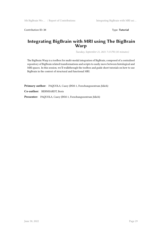Contribution ID: **31** Type: **Tutorial**

#### **Integrating BigBrain with MRI using The BigBrain Warp**

*Tuesday, September 21, 2021 7:15 PM (45 minutes)*

The BigBrain Warp is a toolbox for multi-modal integration of BigBrain, composed of a centralised repository of BigBrain related transformations and scripts to easily move between histological and MRI spaces. In this session, we'll walkthrough the toolbox and guide short tutorials on how to use BigBrain in the context of structural and functional MRI.

**Primary author:** PAQUOLA, Casey (INM-1, Forschungszentrum Jülich)

**Co-author:** BERNHARDT, Boris

**Presenter:** PAQUOLA, Casey (INM-1, Forschungszentrum Jülich)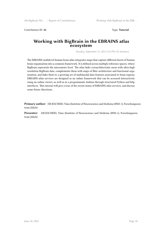**Contribution ID: 32** Type: **Tutorial** 

#### **Working with BigBrain in the EBRAINS atlas ecosystem**

*Tuesday, September 21, 2021 6:25 PM (45 minutes)*

The EBRAINS multilevel human brain atlas integrates maps that capture different facets of human brain organization into a common framework. It is defined across multiple reference spaces, where BigBrain represents the micrometer level. The atlas links cytoarchitectonic areas with ultra-high resolution BigBrain data, complements them with maps of fibre architecture and functional organization, and links them to a growing set of multimodal data features associated to brain regions. EBRAINS atlas services are designed as an online framework that can be accessed interactively using an online viewer, as well as in a programmatic fashion through structured Python and http interfaces. This tutorial will give a tour of the recent status of EBRAINS atlas services, and discuss some future directions.

**Primary author:** DICKSCHEID, Timo (Institute of Neuroscience and Medicine (INM-1), Forschungszentrum Jülich)

**Presenter:** DICKSCHEID, Timo (Institute of Neuroscience and Medicine (INM-1), Forschungszentrum Jülich)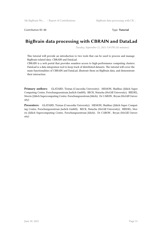**Contribution ID: 33** Type: **Tutorial** 

## **BigBrain data processing with CBRAIN and DataLad**

*Tuesday, September 21, 2021 5:30 PM (45 minutes)*

This tutorial will provide an introduction to two tools that can be used to process and manage BigBrain-related data: CBRAIN and DataLad.

CBRAIN is a web portal that provides seamless access to high-performance computing clusters. DataLad is a data integration tool to keep track of distributed datasets. The tutorial will cover the main functionalities of CBRAIN and DataLad, illustrate them on BigBrain data, and demonstrate their interaction.

**Primary authors:** GLATARD, Tristan (Concordia University); MEMON, Shahbaz (Jülich Super Computing Centre, Forschungszentrum Juelich GmbH); BECK, Natacha (McGill University); RIEDEL, Morris (Jülich Supercomputing Centre, Forschungszentrum Jülich); Dr CARON , Bryan (McGill University)

**Presenters:** GLATARD, Tristan (Concordia University); MEMON, Shahbaz (Jülich Super Computing Centre, Forschungszentrum Juelich GmbH); BECK, Natacha (McGill University); RIEDEL, Morris (Jülich Supercomputing Centre, Forschungszentrum Jülich); Dr CARON , Bryan (McGill University)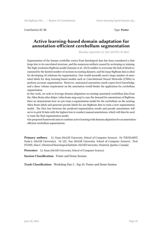Contribution ID: 35 Type: **Poster** 

#### **Active learning-based domain adaptation for annotation-efficient cerebellum segmentation**

*Thursday, September 23, 2021 4:00 PM (1h 30m)*

Segmentation of the human cerebellar cortex from histological data has been considered a challenge due to its convoluted structure, and the numerous artifacts caused by sectioning or staining. The high resolution BigBrain model (Amunts et al., 2013) enables to overcome the lack of detail occasioned by the limited number of sections in existing datasets, and the large BigBrain data is ideal for developing AI solutions for segmentation. One would normally need a large number of annotated labels for deep learning-based models such as Convolutional Neural Networks (CNNs) to perform accurate segmentation. However, anatomical annotation needs expert-level knowledge, and a sheer volume requirement on the annotation would hinder the application for cerebellum segmentation.

In this work, we seek to leverage domain adaptation on existing annotated cerebellum data from the Allen Brain atlas (https://atlas.brain-map.org) to ease the demand for annotations of BigBrain. Here we demonstrate how we pre-train a segmentation model for the cerebellum on the existing Allen Brain labels and generate pseudo labels for our BigBrain data to train a new segmentation model. The Dice loss between the predicted segmentation results and pseudo annotations will serve to pick 50 data with the highest loss to conduct manual annotations, which will then be used to train the final segmentation model.

Our proposed framework aims to combine active learning with domain adaptation for an annotationefficient cerebellum segmentation.

**Primary authors:** LI, Xuan (McGill University, School of Computer Science); Dr TOUSSAINT, Paule-J. (McGill University); Dr LIU, Xue (McGill University, School of Computer Science); Prof. EVANS, Alan C. (Montreal Neurological Institute, McGill University, Montreal, Quebec, Canada)

**Presenter:** LI, Xuan (McGill University, School of Computer Science)

**Session Classification:** Poster and Demo Session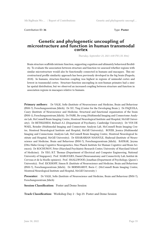Contribution ID: 36 Type: **Poster** 

#### **Genetic and phylogenetic uncoupling of microstructure and function in human transmodal cortex**

*Thursday, September 23, 2021 4:00 PM (1h 30m)*

Brain structure scaffolds intrinsic function, supporting cognition and ultimately behavioral flexibility. To evaluate the association between structure and function we assessed whether regions with similar microstructure would also be functionally connected in humans and macaques. This microstructural profile similarity approach has been previously developed in the big brain (Paquola, 2018). In humans, structure-function coupling was highest in regions of unimodal cortex and lowest in transmodal cortex. Structure-function uncoupling in non-human primates had a similar spatial distribution, but we observed an increased coupling between structure and function in association regions in macaques relative to humans.

**Primary authors:** Dr VALK, Sofie (Institute of Neuroscience and Medicine, Brain and Behaviour (INM-7), Forschungszentrum Jülich); Dr XU, Ting (Center for the Developing Brain ); Dr PAQUOLA, Casey (Institute of Neuroscience and Medicine, Structural and functional organisation of the brain (INM-1), Forschungszentrum Jülich); Dr PARK, Bo-yong (Multimodal Imaging and Connectome Analysis Lab, McConnell Brain Imaging Centre, Montreal Neurological Institute and Hospital, McGill University); Dr BETHLEHEM, Richard A.I. (Department of Psychiatry, Cambridge University); Dr VOS DE WAEL, Reinder (Multimodal Imaging and Connectome Analysis Lab, McConnell Brain Imaging Centre, Montreal Neurological Institute and Hospital, McGill University); ROYER, Jessica (Multimodal Imaging and Connectome Analysis Lab, McConnell Brain Imaging Centre, Montreal Neurological Institute and Hospital, McGill University); Dr KHARABIAN MASOULE, Shahrzad (Institute of Neuroscience and Medicine, Brain and Behaviour (INM-7), Forschungszentrum Jülich); BAYRAK, Şeyma (Otto Hahn Group Cognitive Neurogenetics, Max Planck Institute for Human Cognitive and Brain Sciences); Dr KOCHUNOV, Peter (Maryland Psychiatric Research Center, University of Maryland School of Medicine); Dr YEO, B.T. Thomas (Department of Electrical and Computer Engineering, National University of Singapore); Prof. MARGULIES, Daniel (Neuroanatomy and Connectivity Lab, Institut de Cerveau et de la Moelle epiniere); Prof. SMALLWOOD, Jonathan (Department of Psychology, Queen's University); Prof. EICKHOFF, Simon B. (Institute of Neuroscience and Medicine, Brain and Behaviour (INM-7), Forschungszentrum Jülich); Dr BERNHARDT, Boris C. (McConnell Brain Imaging Centre, Montreal Neurological Institute and Hospital, McGill University )

**Presenter:** Dr VALK, Sofie (Institute of Neuroscience and Medicine, Brain and Behaviour (INM-7), Forschungszentrum Jülich)

**Session Classification:** Poster and Demo Session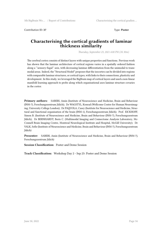Contribution ID: **37** Type: **Poster**

#### **Characterising the cortical gradients of laminar thickness similarity**

*Thursday, September 23, 2021 4:00 PM (1h 30m)*

The cerebral cortex consists of distinct layers with unique properties and functions. Previous work has shown that the laminar architecture of cortical regions varies in a spatially ordered fashion along a ''sensory-fugal'' axis, with decreasing laminar differentiation from the unimodal to transmodal areas. Indeed, the "Structural Model" proposes that the isocortex can be divided into regions with comparable laminar structures, or cortical types, with links to their connections, plasticity and development. In this study, we leveraged the BigBrain map of cortical layers and used a non-linear manifold learning approach to probe along which organisational axes laminar structure covaries in the cortex

**Primary authors:** SABERI, Amin (Institute of Neuroscience and Medicine, Brain and Behaviour (INM-7), Forschungszentrum Jülich); Dr WAGSTYL, Konrad (Wellcome Centre for Human Neuroimaging, University College London); Dr PAQUOLA, Casey (Institute for Neuroscience and Medicine, Structural and functional organisation of the brain (INM-1), Forschungszentrum Jülich); Prof. EICKHOFF, Simon B. (Institute of Neuroscience and Medicine, Brain and Behaviour (INM-7), Forschungszentrum Jülich); Dr BERNHARDT, Boris C. (Multimodal Imaging and Connectome Analysis Laboratory, Mc-Connell Brain Imaging Centre, Montreal Neurological Institute and Hospital, McGill University); Dr VALK, Sofie (Institute of Neuroscience and Medicine, Brain and Behaviour (INM-7), Forschungszentrum Jülich)

**Presenter:** SABERI, Amin (Institute of Neuroscience and Medicine, Brain and Behaviour (INM-7), Forschungszentrum Jülich)

**Session Classification:** Poster and Demo Session